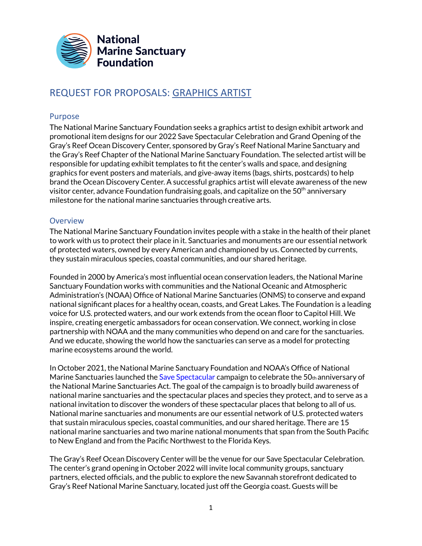

# REQUEST FOR PROPOSALS: GRAPHICS ARTIST

#### Purpose

The National Marine Sanctuary Foundation seeks a graphics artist to design exhibit artwork and promotional item designs for our 2022 Save Spectacular Celebration and Grand Opening of the Gray's Reef Ocean Discovery Center, sponsored by Gray's Reef National Marine Sanctuary and the Gray's Reef Chapter of the National Marine Sanctuary Foundation. The selected artist will be responsible for updating exhibit templates to fit the center's walls and space, and designing graphics for event posters and materials, and give-away items (bags, shirts, postcards) to help brand the Ocean Discovery Center. A successful graphics artist will elevate awareness of the new visitor center, advance Foundation fundraising goals, and capitalize on the 50 $^{\rm th}$  anniversary milestone for the national marine sanctuaries through creative arts.

### **Overview**

The National Marine Sanctuary Foundation invites people with a stake in the health of their planet to work with us to protect their place in it. Sanctuaries and monuments are our essential network of protected waters, owned by every American and championed by us. Connected by currents, they sustain miraculous species, coastal communities, and our shared heritage.

Founded in 2000 by America's most influential ocean conservation leaders, the National Marine Sanctuary Foundation works with communities and the National Oceanic and Atmospheric Administration's (NOAA) Office of National Marine Sanctuaries (ONMS) to conserve and expand national significant places for a healthy ocean, coasts, and Great Lakes. The Foundation is a leading voice for U.S. protected waters, and our work extends from the ocean floor to Capitol Hill. We inspire, creating energetic ambassadors for ocean conservation. We connect, working in close partnership with NOAA and the many communities who depend on and care for the sanctuaries. And we educate, showing the world how the sanctuaries can serve as a model for protecting marine ecosystems around the world.

In October 2021, the National Marine Sanctuary Foundation and NOAA's Office of National Marine Sanctuaries launched the Save Spectacular campaign to celebrate the 50th anniversary of the National Marine Sanctuaries Act. The goal of the campaign is to broadly build awareness of national marine sanctuaries and the spectacular places and species they protect, and to serve as a national invitation to discover the wonders of these spectacular places that belong to all of us. National marine sanctuaries and monuments are our essential network of U.S. protected waters that sustain miraculous species, coastal communities, and our shared heritage. There are 15 national marine sanctuaries and two marine national monuments that span from the South Pacific to New England and from the Pacific Northwest to the Florida Keys.

The Gray's Reef Ocean Discovery Center will be the venue for our Save Spectacular Celebration. The center's grand opening in October 2022 will invite local community groups, sanctuary partners, elected officials, and the public to explore the new Savannah storefront dedicated to Gray's Reef National Marine Sanctuary, located just off the Georgia coast. Guests will be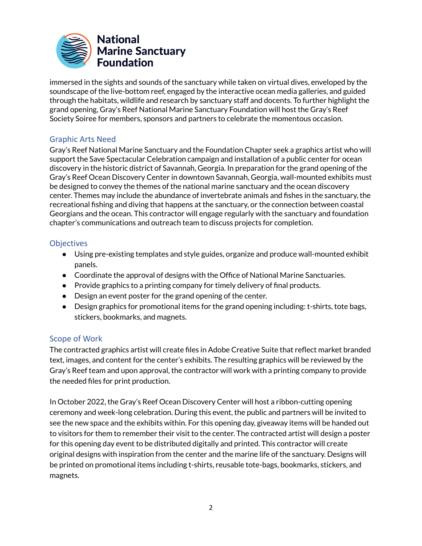

immersed in the sights and sounds of the sanctuary while taken on virtual dives, enveloped by the soundscape of the live-bottom reef, engaged by the interactive ocean media galleries, and guided through the habitats, wildlife and research by sanctuary staff and docents. To further highlight the grand opening, Gray's Reef National Marine Sanctuary Foundation will host the Gray's Reef Society Soiree for members, sponsors and partners to celebrate the momentous occasion.

## Graphic Arts Need

Gray's Reef National Marine Sanctuary and the Foundation Chapter seek a graphics artist who will support the Save Spectacular Celebration campaign and installation of a public center for ocean discovery in the historic district of Savannah, Georgia. In preparation for the grand opening of the Gray's Reef Ocean Discovery Center in downtown Savannah, Georgia, wall-mounted exhibits must be designed to convey the themes of the national marine sanctuary and the ocean discovery center. Themes may include the abundance of invertebrate animals and fishes in the sanctuary, the recreational fishing and diving that happens at the sanctuary, or the connection between coastal Georgians and the ocean. This contractor will engage regularly with the sanctuary and foundation chapter's communications and outreach team to discuss projects for completion.

## **Objectives**

- Using pre-existing templates and style guides, organize and produce wall-mounted exhibit panels.
- Coordinate the approval of designs with the Office of National Marine Sanctuaries.
- Provide graphics to a printing company for timely delivery of final products.
- Design an event poster for the grand opening of the center.
- Design graphics for promotional items for the grand opening including: t-shirts, tote bags, stickers, bookmarks, and magnets.

## Scope of Work

The contracted graphics artist will create files in Adobe Creative Suite that reflect market branded text, images, and content for the center's exhibits. The resulting graphics will be reviewed by the Gray's Reef team and upon approval, the contractor will work with a printing company to provide the needed files for print production.

In October 2022, the Gray's Reef Ocean Discovery Center will host a ribbon-cutting opening ceremony and week-long celebration. During this event, the public and partners will be invited to see the new space and the exhibits within. For this opening day, giveaway items will be handed out to visitors for them to remember their visit to the center. The contracted artist will design a poster for this opening day event to be distributed digitally and printed. This contractor will create original designs with inspiration from the center and the marine life of the sanctuary. Designs will be printed on promotional items including t-shirts, reusable tote-bags, bookmarks, stickers, and magnets.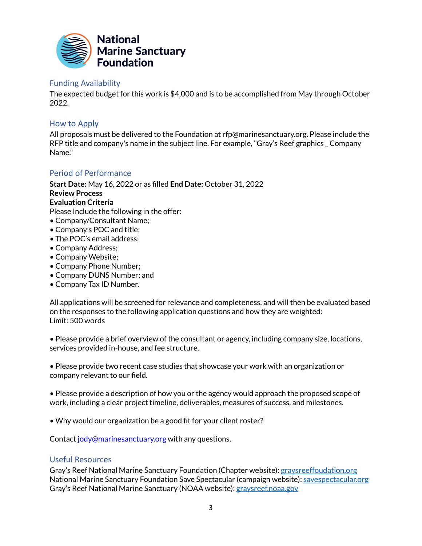

#### Funding Availability

The expected budget for this work is \$4,000 and is to be accomplished from May through October 2022.

## How to Apply

All proposals must be delivered to the Foundation at rfp@marinesanctuary.org. Please include the RFP title and company's name in the subject line. For example,"Gray's Reef graphics \_ Company Name."

### Period of Performance

**Start Date:** May 16, 2022 or as filled **End Date:** October 31, 2022 **Review Process Evaluation Criteria** Please Include the following in the offer: • Company/Consultant Name; • Company's POC and title;

- The POC's email address;
- Company Address;
- Company Website;
- Company Phone Number;
- Company DUNS Number; and
- Company Tax ID Number.

All applications will be screened for relevance and completeness, and will then be evaluated based on the responses to the following application questions and how they are weighted: Limit: 500 words

• Please provide a brief overview of the consultant or agency, including company size, locations, services provided in-house, and fee structure.

• Please provide two recent case studies that showcase your work with an organization or company relevant to our field.

• Please provide a description of how you or the agency would approach the proposed scope of work, including a clear project timeline, deliverables, measures of success, and milestones.

• Why would our organization be a good fit for your client roster?

Contact jody@marinesanctuary.org with any questions.

#### Useful Resources

Gray's Reef National Marine Sanctuary Foundation (Chapter website): [graysreeffoudation.org](https://graysreeffoundation.org/) National Marine Sanctuary Foundation Save Spectacular (campaign website): [savespectacular.org](https://savespectacular.org/) Gray's Reef National Marine Sanctuary (NOAA website): [graysreef.noaa.gov](https://graysreef.noaa.gov/)